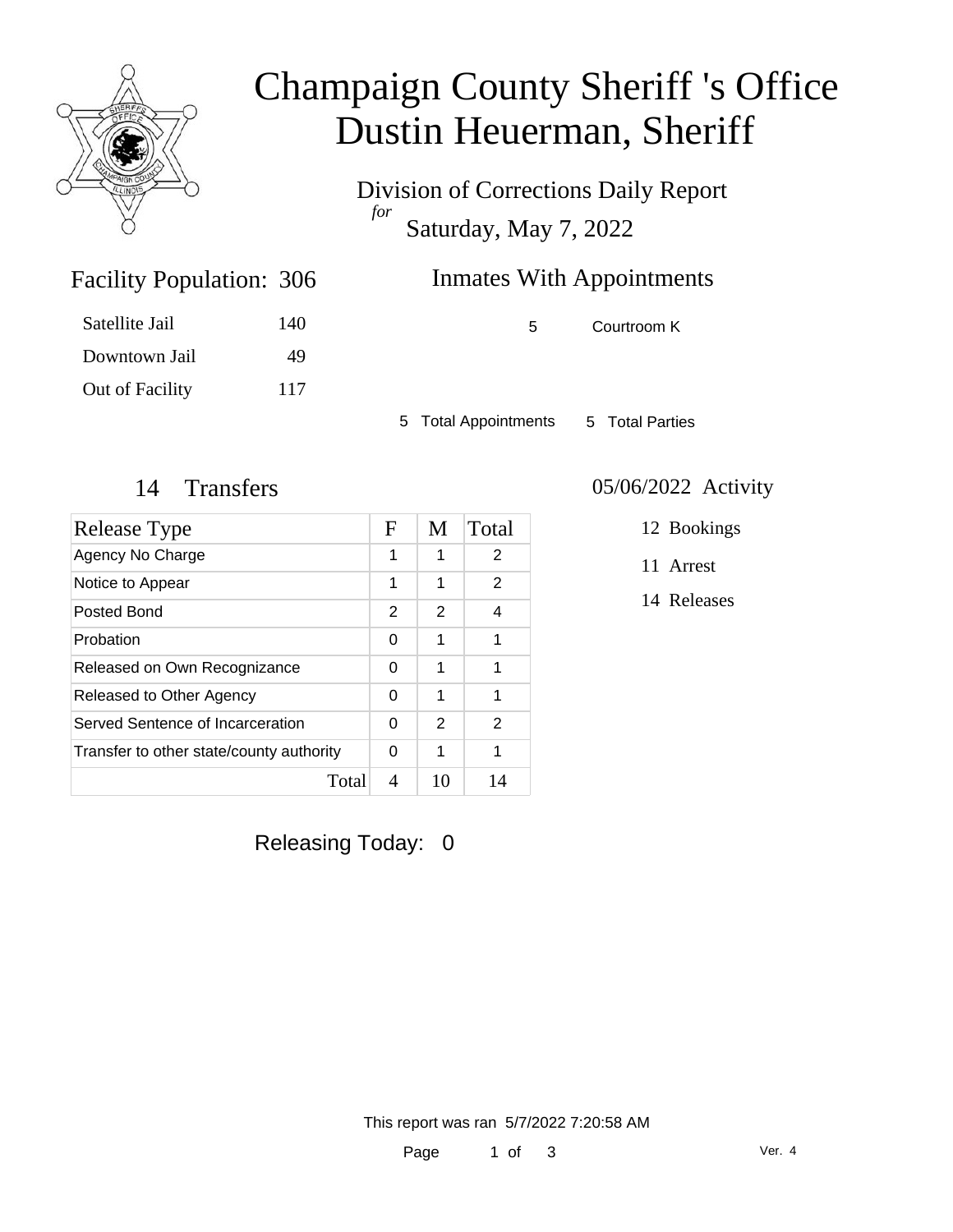

## Champaign County Sheriff 's Office Dustin Heuerman, Sheriff

Division of Corrections Daily Report *for* Saturday, May 7, 2022

### Inmates With Appointments

Satellite Jail 140 Downtown Jail 49 Out of Facility 117

Facility Population: 306

5 Courtroom K

5 Total Appointments 5 Total Parties

| Release Type                             | $\mathbf F$ | M  | Total |
|------------------------------------------|-------------|----|-------|
| Agency No Charge                         | 1           | 1  | 2     |
| Notice to Appear                         | 1           | 1  | 2     |
| Posted Bond                              | 2           | 2  | 4     |
| Probation                                | 0           | 1  | 1     |
| Released on Own Recognizance             | 0           | 1  | 1     |
| Released to Other Agency                 | 0           | 1  | 1     |
| Served Sentence of Incarceration         | 0           | 2  | 2     |
| Transfer to other state/county authority | 0           | 1  | 1     |
| Total                                    | 4           | 10 | 14    |

#### 14 Transfers 05/06/2022 Activity

12 Bookings

11 Arrest

14 Releases

Releasing Today: 0

This report was ran 5/7/2022 7:20:58 AM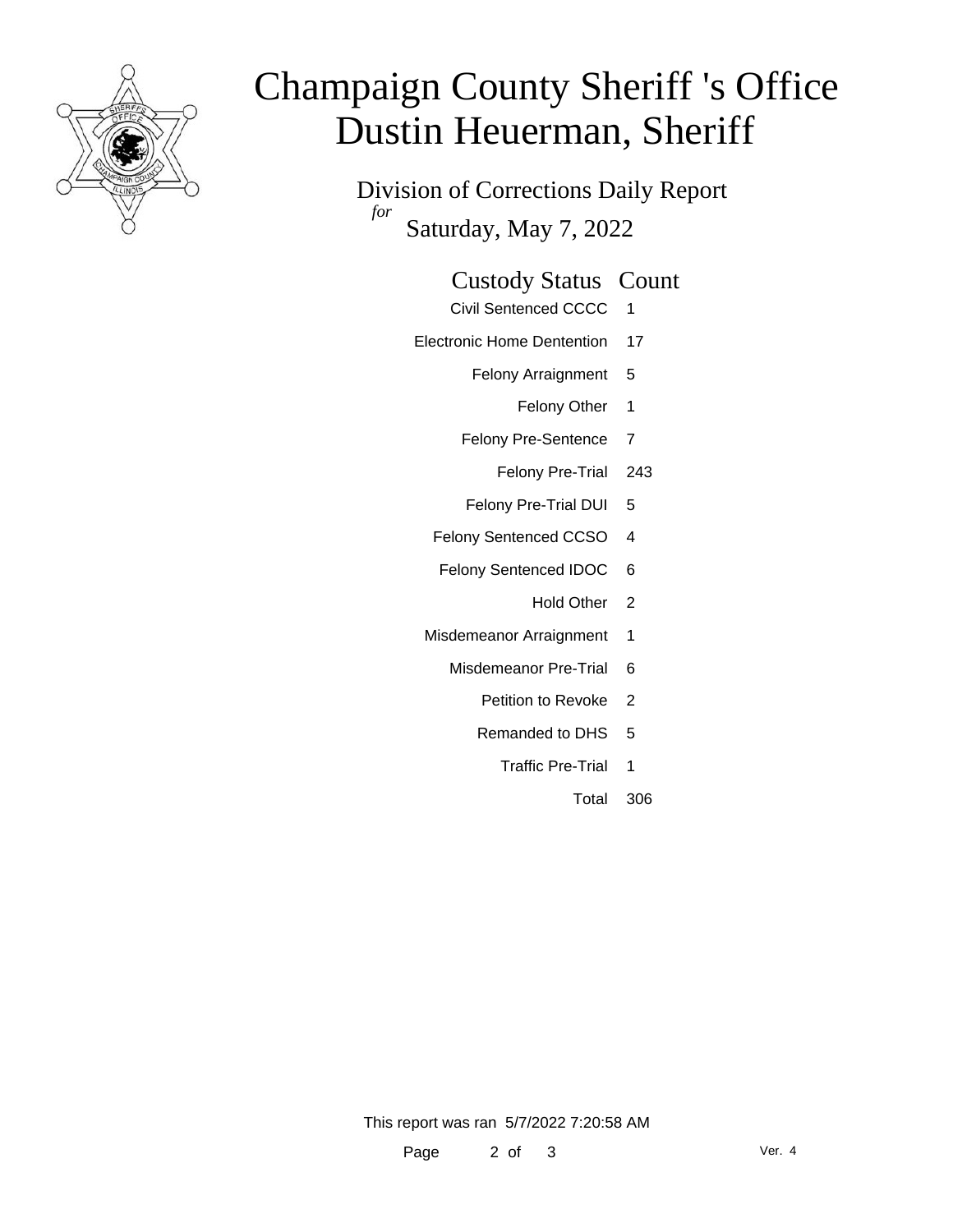

# Champaign County Sheriff 's Office Dustin Heuerman, Sheriff

Division of Corrections Daily Report *for* Saturday, May 7, 2022

#### Custody Status Count

- Civil Sentenced CCCC 1
- Electronic Home Dentention 17
	- Felony Arraignment 5
		- Felony Other 1
	- Felony Pre-Sentence 7
		- Felony Pre-Trial 243
	- Felony Pre-Trial DUI 5
	- Felony Sentenced CCSO 4
	- Felony Sentenced IDOC 6
		- Hold Other 2
	- Misdemeanor Arraignment 1
		- Misdemeanor Pre-Trial 6
			- Petition to Revoke 2
			- Remanded to DHS 5
				- Traffic Pre-Trial 1
					- Total 306

This report was ran 5/7/2022 7:20:58 AM